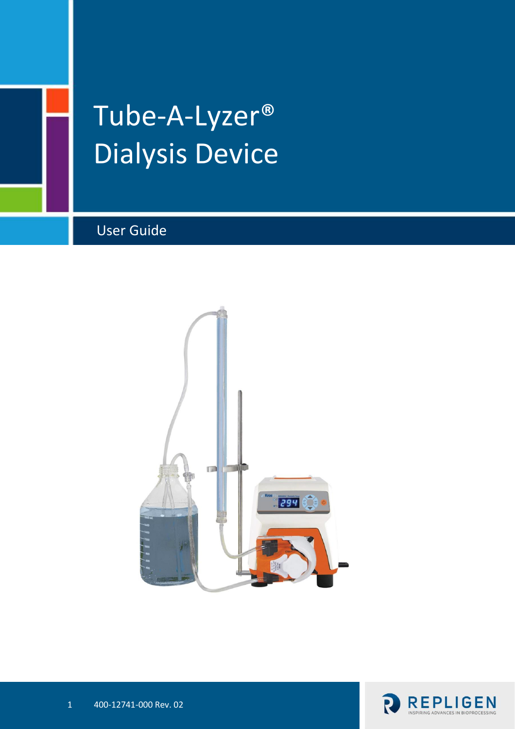

# Tube-A-Lyzer® Dialysis Device

# User Guide



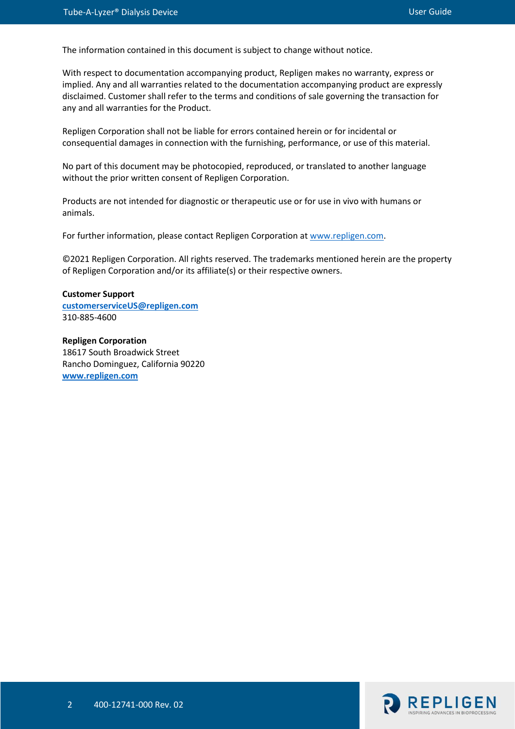The information contained in this document is subject to change without notice.

With respect to documentation accompanying product, Repligen makes no warranty, express or implied. Any and all warranties related to the documentation accompanying product are expressly disclaimed. Customer shall refer to the terms and conditions of sale governing the transaction for any and all warranties for the Product.

Repligen Corporation shall not be liable for errors contained herein or for incidental or consequential damages in connection with the furnishing, performance, or use of this material.

No part of this document may be photocopied, reproduced, or translated to another language without the prior written consent of Repligen Corporation.

Products are not intended for diagnostic or therapeutic use or for use in vivo with humans or animals.

For further information, please contact Repligen Corporation at [www.repligen.com.](http://www.repligen.com/)

©2021 Repligen Corporation. All rights reserved. The trademarks mentioned herein are the property of Repligen Corporation and/or its affiliate(s) or their respective owners.

**Customer Support [customerserviceUS@repligen.com](mailto:customerserviceUS@repligen.com)** 310-885-4600

**Repligen Corporation** 18617 South Broadwick Street Rancho Dominguez, California 90220 **[www.repligen.com](http://www.repligen.com/)**

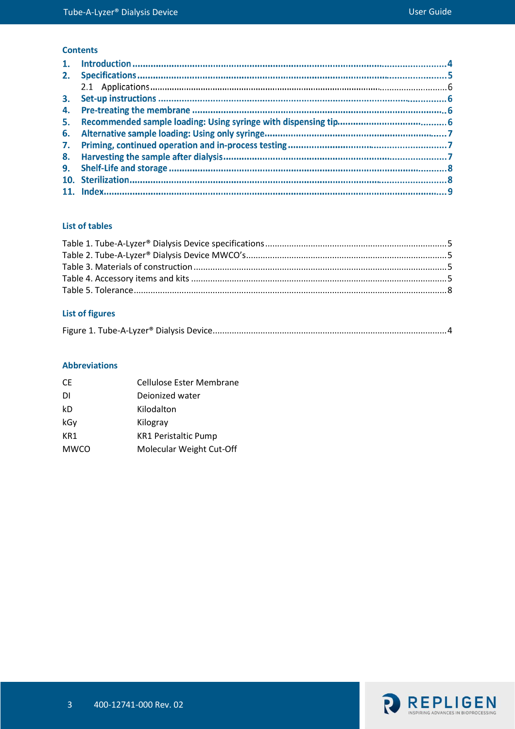#### **Contents**

#### **List of tables**

#### **List of figures**

|--|--|--|

#### **Abbreviations**

| <b>CE</b>   | <b>Cellulose Ester Membrane</b> |
|-------------|---------------------------------|
| DI          | Deionized water                 |
| kD          | Kilodalton                      |
| kGy         | Kilogray                        |
| KR1         | <b>KR1 Peristaltic Pump</b>     |
| <b>MWCO</b> | Molecular Weight Cut-Off        |

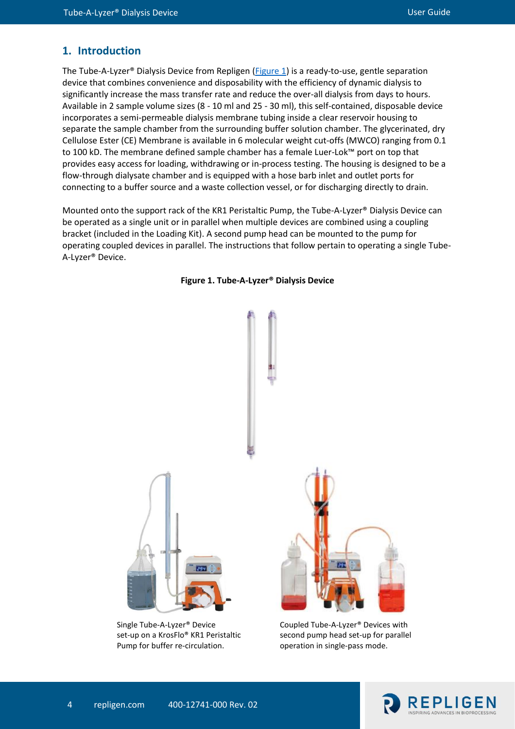#### **1. Introduction**

The Tube-A-Lyzer<sup>®</sup> Dialysis Device from Repligen ( $Figure 1$ ) is a ready-to-use, gentle separation device that combines convenience and disposability with the efficiency of dynamic dialysis to significantly increase the mass transfer rate and reduce the over-all dialysis from days to hours. Available in 2 sample volume sizes (8 - 10 ml and 25 - 30 ml), this self-contained, disposable device incorporates a semi-permeable dialysis membrane tubing inside a clear reservoir housing to separate the sample chamber from the surrounding buffer solution chamber. The glycerinated, dry Cellulose Ester (CE) Membrane is available in 6 molecular weight cut-offs (MWCO) ranging from 0.1 to 100 kD. The membrane defined sample chamber has a female Luer-Lok™ port on top that provides easy access for loading, withdrawing or in-process testing. The housing is designed to be a flow-through dialysate chamber and is equipped with a hose barb inlet and outlet ports for connecting to a buffer source and a waste collection vessel, or for discharging directly to drain.

Mounted onto the support rack of the KR1 Peristaltic Pump, the Tube-A-Lyzer® Dialysis Device can be operated as a single unit or in parallel when multiple devices are combined using a coupling bracket (included in the Loading Kit). A second pump head can be mounted to the pump for operating coupled devices in parallel. The instructions that follow pertain to operating a single Tube-A-Lyzer® Device.

<span id="page-3-0"></span>

**Figure 1. Tube-A-Lyzer® Dialysis Device**

Coupled Tube-A-Lyzer® Devices with second pump head set-up for parallel operation in single-pass mode.



set-up on a KrosFlo® KR1 Peristaltic Pump for buffer re-circulation.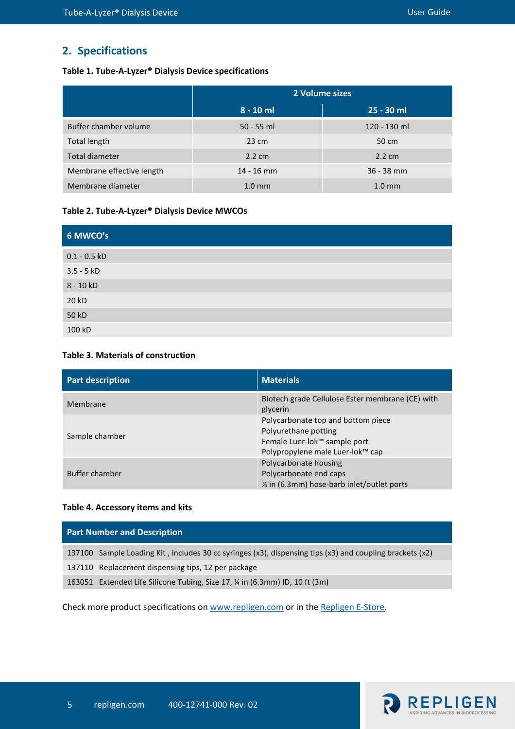### **2. Specifications**

#### <span id="page-4-0"></span>**Table 1. Tube-A-Lyzer® Dialysis Device specifications**

|                           | 2 Volume sizes   |                  |
|---------------------------|------------------|------------------|
|                           | $8 - 10$ ml      | $25 - 30$ ml     |
| Buffer chamber volume     | $50 - 55$ ml     | 120 - 130 ml     |
| <b>Total length</b>       | $23 \text{ cm}$  | 50 cm            |
| <b>Total diameter</b>     | $2.2 \text{ cm}$ | $2.2 \text{ cm}$ |
| Membrane effective length | $14 - 16$ mm     | $36 - 38$ mm     |
| Membrane diameter         | $1.0 \text{ mm}$ | $1.0 \text{ mm}$ |

#### <span id="page-4-1"></span>**Table 2. Tube-A-Lyzer® Dialysis Device MWCOs**

| 6 MWCO's       |
|----------------|
| $0.1 - 0.5$ kD |
| $3.5 - 5 kD$   |
| $8 - 10 kD$    |
| 20 kD          |
| 50 kD          |
| 100 kD         |

#### <span id="page-4-2"></span>**Table 3. Materials of construction**

| <b>Part description</b> | <b>Materials</b>                                                                                                               |
|-------------------------|--------------------------------------------------------------------------------------------------------------------------------|
| Membrane                | Biotech grade Cellulose Ester membrane (CE) with<br>glycerin                                                                   |
| Sample chamber          | Polycarbonate top and bottom piece<br>Polyurethane potting<br>Female Luer-lok™ sample port<br>Polypropylene male Luer-lok™ cap |
| <b>Buffer chamber</b>   | Polycarbonate housing<br>Polycarbonate end caps<br>1/4 in (6.3mm) hose-barb inlet/outlet ports                                 |

#### <span id="page-4-3"></span>**Table 4. Accessory items and kits**

| <b>Part Number and Description</b> |                                                                                                          |  |
|------------------------------------|----------------------------------------------------------------------------------------------------------|--|
|                                    | 137100 Sample Loading Kit, includes 30 cc syringes (x3), dispensing tips (x3) and coupling brackets (x2) |  |
|                                    | 137110 Replacement dispensing tips, 12 per package                                                       |  |
|                                    | 163051 Extended Life Silicone Tubing, Size 17, ¼ in (6.3mm) ID, 10 ft (3m)                               |  |

Check more product specifications o[n www.repligen.com](https://www.repligen.com/technologies/dialysis/ready-use-dialysis) or in th[e Repligen E-Store.](https://store.repligen.com/collections/tube-a-lyzer)

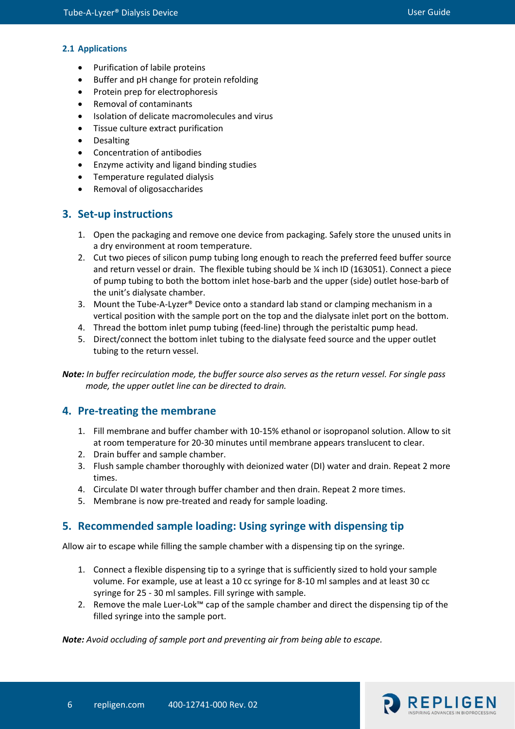#### **2.1 Applications**

- Purification of labile proteins
- Buffer and pH change for protein refolding
- Protein prep for electrophoresis
- Removal of contaminants
- Isolation of delicate macromolecules and virus
- Tissue culture extract purification
- Desalting
- Concentration of antibodies
- Enzyme activity and ligand binding studies
- Temperature regulated dialysis
- Removal of oligosaccharides

#### **3. Set-up instructions**

- 1. Open the packaging and remove one device from packaging. Safely store the unused units in a dry environment at room temperature.
- 2. Cut two pieces of silicon pump tubing long enough to reach the preferred feed buffer source and return vessel or drain. The flexible tubing should be  $\frac{1}{2}$  inch ID (163051). Connect a piece of pump tubing to both the bottom inlet hose-barb and the upper (side) outlet hose-barb of the unit's dialysate chamber.
- 3. Mount the Tube-A-Lyzer® Device onto a standard lab stand or clamping mechanism in a vertical position with the sample port on the top and the dialysate inlet port on the bottom.
- 4. Thread the bottom inlet pump tubing (feed-line) through the peristaltic pump head.
- 5. Direct/connect the bottom inlet tubing to the dialysate feed source and the upper outlet tubing to the return vessel.

*Note: In buffer recirculation mode, the buffer source also serves as the return vessel. For single pass mode, the upper outlet line can be directed to drain.*

#### **4. Pre-treating the membrane**

- 1. Fill membrane and buffer chamber with 10-15% ethanol or isopropanol solution. Allow to sit at room temperature for 20-30 minutes until membrane appears translucent to clear.
- 2. Drain buffer and sample chamber.
- 3. Flush sample chamber thoroughly with deionized water (DI) water and drain. Repeat 2 more times.
- 4. Circulate DI water through buffer chamber and then drain. Repeat 2 more times.
- 5. Membrane is now pre-treated and ready for sample loading.

#### **5. Recommended sample loading: Using syringe with dispensing tip**

Allow air to escape while filling the sample chamber with a dispensing tip on the syringe.

- 1. Connect a flexible dispensing tip to a syringe that is sufficiently sized to hold your sample volume. For example, use at least a 10 cc syringe for 8-10 ml samples and at least 30 cc syringe for 25 - 30 ml samples. Fill syringe with sample.
- 2. Remove the male Luer-Lok™ cap of the sample chamber and direct the dispensing tip of the filled syringe into the sample port.

*Note: Avoid occluding of sample port and preventing air from being able to escape.*

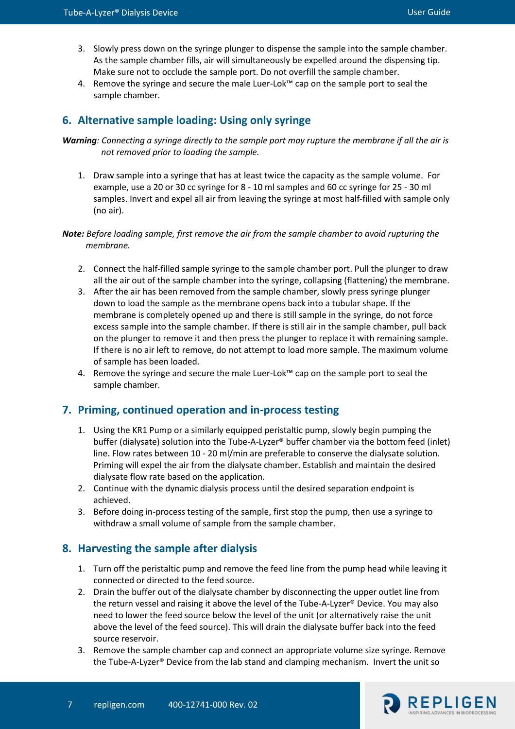- 3. Slowly press down on the syringe plunger to dispense the sample into the sample chamber. As the sample chamber fills, air will simultaneously be expelled around the dispensing tip. Make sure not to occlude the sample port. Do not overfill the sample chamber.
- 4. Remove the syringe and secure the male Luer-Lok™ cap on the sample port to seal the sample chamber.

#### **6. Alternative sample loading: Using only syringe**

*Warning: Connecting a syringe directly to the sample port may rupture the membrane if all the air is not removed prior to loading the sample.*

1. Draw sample into a syringe that has at least twice the capacity as the sample volume. For example, use a 20 or 30 cc syringe for 8 - 10 ml samples and 60 cc syringe for 25 - 30 ml samples. Invert and expel all air from leaving the syringe at most half-filled with sample only (no air).

#### *Note: Before loading sample, first remove the air from the sample chamber to avoid rupturing the membrane.*

- 2. Connect the half-filled sample syringe to the sample chamber port. Pull the plunger to draw all the air out of the sample chamber into the syringe, collapsing (flattening) the membrane.
- 3. After the air has been removed from the sample chamber, slowly press syringe plunger down to load the sample as the membrane opens back into a tubular shape. If the membrane is completely opened up and there is still sample in the syringe, do not force excess sample into the sample chamber. If there is still air in the sample chamber, pull back on the plunger to remove it and then press the plunger to replace it with remaining sample. If there is no air left to remove, do not attempt to load more sample. The maximum volume of sample has been loaded.
- 4. Remove the syringe and secure the male Luer-Lok™ cap on the sample port to seal the sample chamber.

#### **7. Priming, continued operation and in-process testing**

- 1. Using the KR1 Pump or a similarly equipped peristaltic pump, slowly begin pumping the buffer (dialysate) solution into the Tube-A-Lyzer® buffer chamber via the bottom feed (inlet) line. Flow rates between 10 - 20 ml/min are preferable to conserve the dialysate solution. Priming will expel the air from the dialysate chamber. Establish and maintain the desired dialysate flow rate based on the application.
- 2. Continue with the dynamic dialysis process until the desired separation endpoint is achieved.
- 3. Before doing in-process testing of the sample, first stop the pump, then use a syringe to withdraw a small volume of sample from the sample chamber.

#### **8. Harvesting the sample after dialysis**

- 1. Turn off the peristaltic pump and remove the feed line from the pump head while leaving it connected or directed to the feed source.
- 2. Drain the buffer out of the dialysate chamber by disconnecting the upper outlet line from the return vessel and raising it above the level of the Tube-A-Lyzer® Device. You may also need to lower the feed source below the level of the unit (or alternatively raise the unit above the level of the feed source). This will drain the dialysate buffer back into the feed source reservoir.
- 3. Remove the sample chamber cap and connect an appropriate volume size syringe. Remove the Tube-A-Lyzer® Device from the lab stand and clamping mechanism. Invert the unit so

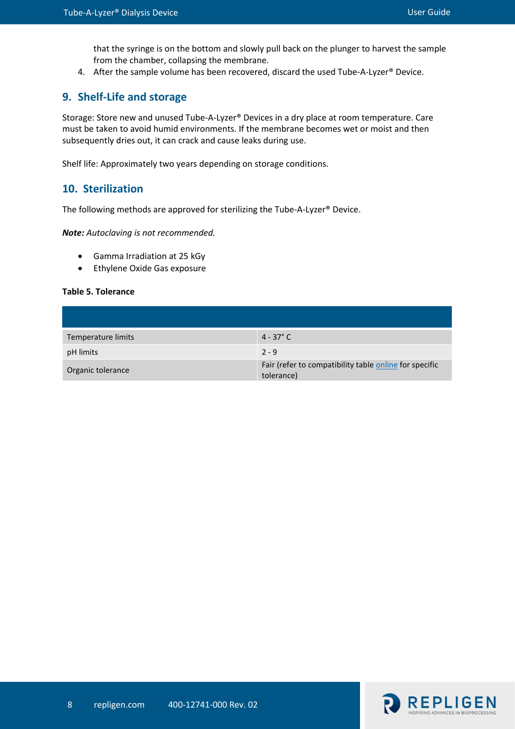that the syringe is on the bottom and slowly pull back on the plunger to harvest the sample from the chamber, collapsing the membrane.

4. After the sample volume has been recovered, discard the used Tube-A-Lyzer<sup>®</sup> Device.

#### **9. Shelf-Life and storage**

Storage: Store new and unused Tube-A-Lyzer® Devices in a dry place at room temperature. Care must be taken to avoid humid environments. If the membrane becomes wet or moist and then subsequently dries out, it can crack and cause leaks during use.

Shelf life: Approximately two years depending on storage conditions.

#### **10. Sterilization**

The following methods are approved for sterilizing the Tube-A-Lyzer® Device.

*Note: Autoclaving is not recommended.* 

- Gamma Irradiation at 25 kGy
- Ethylene Oxide Gas exposure

#### <span id="page-7-0"></span>**Table 5. Tolerance**

| Temperature limits | $4 - 37^{\circ}$ C                                                   |
|--------------------|----------------------------------------------------------------------|
| pH limits          | $2 - 9$                                                              |
| Organic tolerance  | Fair (refer to compatibility table online for specific<br>tolerance) |